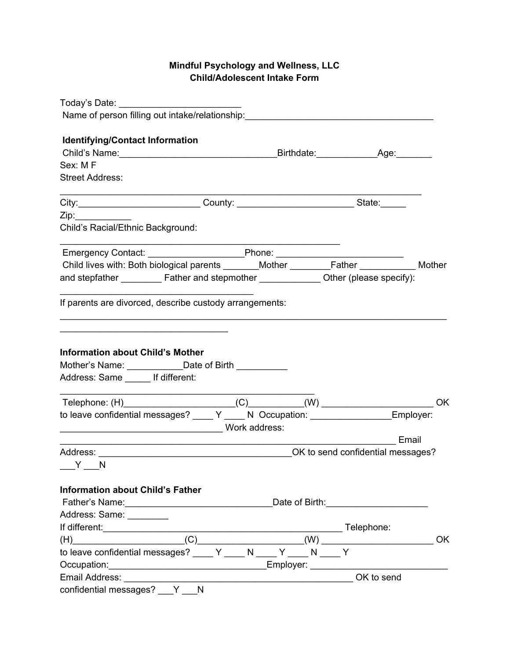# **Mindful Psychology and Wellness, LLC Child/Adolescent Intake Form**

| Today's Date:                                                                                                                                                                                                                                       |
|-----------------------------------------------------------------------------------------------------------------------------------------------------------------------------------------------------------------------------------------------------|
| Name of person filling out intake/relationship: ________________________________                                                                                                                                                                    |
| <b>Identifying/Contact Information</b>                                                                                                                                                                                                              |
|                                                                                                                                                                                                                                                     |
| Sex: MF                                                                                                                                                                                                                                             |
| <b>Street Address:</b>                                                                                                                                                                                                                              |
| City: ________________________________County: _________________________________State: _______                                                                                                                                                       |
| Zip:                                                                                                                                                                                                                                                |
| Child's Racial/Ethnic Background:                                                                                                                                                                                                                   |
|                                                                                                                                                                                                                                                     |
| Child lives with: Both biological parents _______Mother ________Father __________ Mother                                                                                                                                                            |
|                                                                                                                                                                                                                                                     |
|                                                                                                                                                                                                                                                     |
| If parents are divorced, describe custody arrangements:                                                                                                                                                                                             |
|                                                                                                                                                                                                                                                     |
|                                                                                                                                                                                                                                                     |
| <b>Information about Child's Mother</b>                                                                                                                                                                                                             |
| Mother's Name: ______________Date of Birth _____________                                                                                                                                                                                            |
| Address: Same ______ If different:                                                                                                                                                                                                                  |
|                                                                                                                                                                                                                                                     |
|                                                                                                                                                                                                                                                     |
| to leave confidential messages? ____ Y ____ N Occupation: ________________Employer:                                                                                                                                                                 |
|                                                                                                                                                                                                                                                     |
| Email                                                                                                                                                                                                                                               |
|                                                                                                                                                                                                                                                     |
| $Y_$ N                                                                                                                                                                                                                                              |
| <b>Information about Child's Father</b>                                                                                                                                                                                                             |
| Date of Birth: The Contract of Birth:                                                                                                                                                                                                               |
| Address: Same: ________                                                                                                                                                                                                                             |
|                                                                                                                                                                                                                                                     |
| OK                                                                                                                                                                                                                                                  |
| (H) $(C)$ (C) $(W)$ (W) $(W)$ (H) $(W)$ (H) $(W)$ (H) $(W)$ (H) $(W)$ (H) $(W)$ (H) $(W)$ (H) $(W)$ (H) $(W)$ (H) $(W)$ (H) $(W)$ (H) $(W)$ (H) $(W)$ (H) $(W)$ (H) $(W)$ (H) $(W)$ (H) $(W)$ (H) $(W)$ (H) $(W)$ (H) $(W)$ (H) $(W)$ (H) $(W)$ (H) |
|                                                                                                                                                                                                                                                     |
| OK to send                                                                                                                                                                                                                                          |
| confidential messages? V N                                                                                                                                                                                                                          |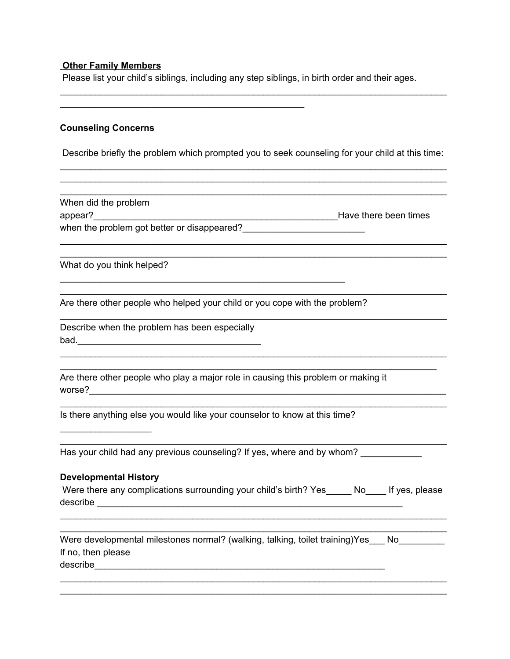#### **Other Family Members**

Please list your child's siblings, including any step siblings, in birth order and their ages.

#### **Counseling Concerns**

Describe briefly the problem which prompted you to seek counseling for your child at this time: \_\_\_\_\_\_\_\_\_\_\_\_\_\_\_\_\_\_\_\_\_\_\_\_\_\_\_\_\_\_\_\_\_\_\_\_\_\_\_\_\_\_\_\_\_\_\_\_\_\_\_\_\_\_\_\_\_\_\_\_\_\_\_\_\_\_\_\_\_\_\_\_\_\_\_\_

\_\_\_\_\_\_\_\_\_\_\_\_\_\_\_\_\_\_\_\_\_\_\_\_\_\_\_\_\_\_\_\_\_\_\_\_\_\_\_\_\_\_\_\_\_\_\_\_\_\_\_\_\_\_\_\_\_\_\_\_\_\_\_\_\_\_\_\_\_\_\_\_\_\_\_\_ \_\_\_\_\_\_\_\_\_\_\_\_\_\_\_\_\_\_\_\_\_\_\_\_\_\_\_\_\_\_\_\_\_\_\_\_\_\_\_\_\_\_\_\_\_\_\_\_\_\_\_\_\_\_\_\_\_\_\_\_\_\_\_\_\_\_\_\_\_\_\_\_\_\_\_\_

\_\_\_\_\_\_\_\_\_\_\_\_\_\_\_\_\_\_\_\_\_\_\_\_\_\_\_\_\_\_\_\_\_\_\_\_\_\_\_\_\_\_\_\_\_\_\_\_\_\_\_\_\_\_\_\_\_\_\_\_\_\_\_\_\_\_\_\_\_\_\_\_\_\_\_\_ \_\_\_\_\_\_\_\_\_\_\_\_\_\_\_\_\_\_\_\_\_\_\_\_\_\_\_\_\_\_\_\_\_\_\_\_\_\_\_\_\_\_\_\_\_\_\_\_\_\_\_\_\_\_\_\_\_\_\_\_\_\_\_\_\_\_\_\_\_\_\_\_\_\_\_\_

\_\_\_\_\_\_\_\_\_\_\_\_\_\_\_\_\_\_\_\_\_\_\_\_\_\_\_\_\_\_\_\_\_\_\_\_\_\_\_\_\_\_\_\_\_\_\_\_\_\_\_\_\_\_\_\_\_\_\_\_\_\_\_\_\_\_\_\_\_\_\_\_\_\_\_\_

\_\_\_\_\_\_\_\_\_\_\_\_\_\_\_\_\_\_\_\_\_\_\_\_\_\_\_\_\_\_\_\_\_\_\_\_\_\_\_\_\_\_\_\_\_\_\_\_\_\_\_\_\_\_\_\_\_\_\_\_\_\_\_\_\_\_\_\_\_\_\_\_\_\_\_\_

\_\_\_\_\_\_\_\_\_\_\_\_\_\_\_\_\_\_\_\_\_\_\_\_\_\_\_\_\_\_\_\_\_\_\_\_\_\_\_\_\_\_\_\_\_\_\_\_\_\_\_\_\_\_\_\_\_\_\_\_\_\_\_\_\_\_\_\_\_\_\_\_\_\_\_\_ \_\_\_\_\_\_\_\_\_\_\_\_\_\_\_\_\_\_\_\_\_\_\_\_\_\_\_\_\_\_\_\_\_\_\_\_\_\_\_\_\_\_\_\_\_\_\_\_\_\_\_\_\_\_\_\_\_\_\_\_\_\_\_\_\_\_\_\_\_\_\_\_\_\_

\_\_\_\_\_\_\_\_\_\_\_\_\_\_\_\_\_\_\_\_\_\_\_\_\_\_\_\_\_\_\_\_\_\_\_\_\_\_\_\_\_\_\_\_\_\_\_\_\_\_\_\_\_\_\_\_\_\_\_\_\_\_\_\_\_\_\_\_\_\_\_\_\_\_\_\_

\_\_\_\_\_\_\_\_\_\_\_\_\_\_\_\_\_\_\_\_\_\_\_\_\_\_\_\_\_\_\_\_\_\_\_\_\_\_\_\_\_\_\_\_\_\_\_\_\_\_\_\_\_\_\_\_\_\_\_\_\_\_\_\_\_\_\_\_\_\_\_\_\_\_\_\_

\_\_\_\_\_\_\_\_\_\_\_\_\_\_\_\_\_\_\_\_\_\_\_\_\_\_\_\_\_\_\_\_\_\_\_\_\_\_\_\_\_\_\_\_\_\_\_\_\_\_\_\_\_\_\_\_\_\_\_\_\_\_\_\_\_\_\_\_\_\_\_\_\_\_\_\_

When did the problem appear? **Example 2018** appear? when the problem got better or disappeared?\_\_\_\_\_\_\_\_\_\_\_\_\_\_\_\_\_\_\_\_\_\_\_\_

 $\mathcal{L}_\mathcal{L} = \{ \mathcal{L}_\mathcal{L} = \{ \mathcal{L}_\mathcal{L} = \{ \mathcal{L}_\mathcal{L} = \{ \mathcal{L}_\mathcal{L} = \{ \mathcal{L}_\mathcal{L} = \{ \mathcal{L}_\mathcal{L} = \{ \mathcal{L}_\mathcal{L} = \{ \mathcal{L}_\mathcal{L} = \{ \mathcal{L}_\mathcal{L} = \{ \mathcal{L}_\mathcal{L} = \{ \mathcal{L}_\mathcal{L} = \{ \mathcal{L}_\mathcal{L} = \{ \mathcal{L}_\mathcal{L} = \{ \mathcal{L}_\mathcal{$ 

What do you think helped?

Are there other people who helped your child or you cope with the problem?

\_\_\_\_\_\_\_\_\_\_\_\_\_\_\_\_\_\_\_\_\_\_\_\_\_\_\_\_\_\_\_\_\_\_\_\_\_\_\_\_\_\_\_\_\_\_\_\_\_\_\_\_\_\_\_\_

Describe when the problem has been especially bad.\_\_\_\_\_\_\_\_\_\_\_\_\_\_\_\_\_\_\_\_\_\_\_\_\_\_\_\_\_\_\_\_\_\_\_\_

Are there other people who play a major role in causing this problem or making it worse?\_\_\_\_\_\_\_\_\_\_\_\_\_\_\_\_\_\_\_\_\_\_\_\_\_\_\_\_\_\_\_\_\_\_\_\_\_\_\_\_\_\_\_\_\_\_\_\_\_\_\_\_\_\_\_\_\_\_\_\_\_\_\_\_\_\_\_\_\_\_

Is there anything else you would like your counselor to know at this time?

Has your child had any previous counseling? If yes, where and by whom?

#### **Developmental History**

\_\_\_\_\_\_\_\_\_\_\_\_\_\_\_\_\_\_

|          | Were there any complications surrounding your child's birth? Yes |  | ____ No____ If yes, please |  |
|----------|------------------------------------------------------------------|--|----------------------------|--|
| describe |                                                                  |  |                            |  |

\_\_\_\_\_\_\_\_\_\_\_\_\_\_\_\_\_\_\_\_\_\_\_\_\_\_\_\_\_\_\_\_\_\_\_\_\_\_\_\_\_\_\_\_\_\_\_\_\_\_\_\_\_\_\_\_\_\_\_\_\_\_\_\_\_\_\_\_\_\_\_\_\_\_\_\_ \_\_\_\_\_\_\_\_\_\_\_\_\_\_\_\_\_\_\_\_\_\_\_\_\_\_\_\_\_\_\_\_\_\_\_\_\_\_\_\_\_\_\_\_\_\_\_\_\_\_\_\_\_\_\_\_\_\_\_\_\_\_\_\_\_\_\_\_\_\_\_\_\_\_\_\_

Were developmental milestones normal? (walking, talking, toilet training)Yes\_\_\_ No If no, then please  $\textbf{describe}\textcolor{red}{\overbrace{\phantom{a}}\textbf{describe}\textcolor{red}{\overbrace{\phantom{a}}\textbf{describe}\textcolor{red}{\overbrace{\phantom{a}}\textbf{describe}\textcolor{red}{\overbrace{\phantom{a}}\textbf{desche}\textcolor{red}{\overbrace{\phantom{a}}\textbf{desche}\textcolor{red}{\overbrace{\phantom{a}}\textbf{desche}\textcolor{red}{\overbrace{\phantom{a}}\textbf{desche}\textcolor{red}{\overbrace{\phantom{a}}\textbf{desche}\textcolor{red}{\overbrace{\phantom{a}}\textbf{desche}\textcolor{red}{\overbrace{\phantom{a}}\textbf{desche}\textcolor{red$ 

\_\_\_\_\_\_\_\_\_\_\_\_\_\_\_\_\_\_\_\_\_\_\_\_\_\_\_\_\_\_\_\_\_\_\_\_\_\_\_\_\_\_\_\_\_\_\_\_\_\_\_\_\_\_\_\_\_\_\_\_\_\_\_\_\_\_\_\_\_\_\_\_\_\_\_\_ \_\_\_\_\_\_\_\_\_\_\_\_\_\_\_\_\_\_\_\_\_\_\_\_\_\_\_\_\_\_\_\_\_\_\_\_\_\_\_\_\_\_\_\_\_\_\_\_\_\_\_\_\_\_\_\_\_\_\_\_\_\_\_\_\_\_\_\_\_\_\_\_\_\_\_\_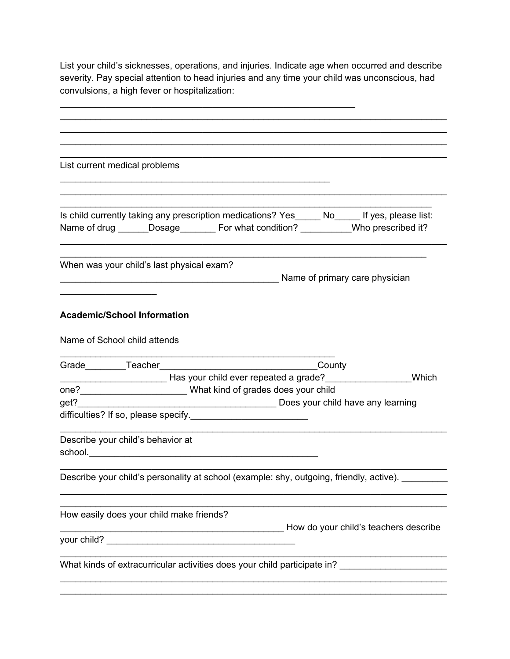List your child's sicknesses, operations, and injuries. Indicate age when occurred and describe severity. Pay special attention to head injuries and any time your child was unconscious, had convulsions, a high fever or hospitalization:

\_\_\_\_\_\_\_\_\_\_\_\_\_\_\_\_\_\_\_\_\_\_\_\_\_\_\_\_\_\_\_\_\_\_\_\_\_\_\_\_\_\_\_\_\_\_\_\_\_\_\_\_\_\_\_\_\_\_

| List current medical problems                                                                                                                                                       |                                                                                                 |                                |       |
|-------------------------------------------------------------------------------------------------------------------------------------------------------------------------------------|-------------------------------------------------------------------------------------------------|--------------------------------|-------|
|                                                                                                                                                                                     |                                                                                                 |                                |       |
| Is child currently taking any prescription medications? Yes_____ No_____ If yes, please list:<br>Name of drug ______Dosage________ For what condition? __________Who prescribed it? |                                                                                                 |                                |       |
| When was your child's last physical exam?                                                                                                                                           |                                                                                                 | Name of primary care physician |       |
|                                                                                                                                                                                     |                                                                                                 |                                |       |
| <b>Academic/School Information</b>                                                                                                                                                  |                                                                                                 |                                |       |
| Name of School child attends                                                                                                                                                        |                                                                                                 |                                |       |
|                                                                                                                                                                                     |                                                                                                 |                                |       |
| Letter that your child ever repeated a grade?<br>The Mass your child ever repeated a grade?<br>The Mass your child ever repeated a grade?                                           |                                                                                                 |                                | Which |
| one?_________________________What kind of grades does your child                                                                                                                    |                                                                                                 |                                |       |
| get?                                                                                                                                                                                | Does your child have any learning                                                               |                                |       |
| difficulties? If so, please specify.                                                                                                                                                |                                                                                                 |                                |       |
| Describe your child's behavior at                                                                                                                                                   |                                                                                                 |                                |       |
| Describe your child's personality at school (example: shy, outgoing, friendly, active).                                                                                             |                                                                                                 |                                |       |
| How easily does your child make friends?                                                                                                                                            | Mow do your child's teachers describe example and walking How do your child's teachers describe |                                |       |
|                                                                                                                                                                                     |                                                                                                 |                                |       |
| What kinds of extracurricular activities does your child participate in? ___________________________                                                                                |                                                                                                 |                                |       |
|                                                                                                                                                                                     |                                                                                                 |                                |       |

\_\_\_\_\_\_\_\_\_\_\_\_\_\_\_\_\_\_\_\_\_\_\_\_\_\_\_\_\_\_\_\_\_\_\_\_\_\_\_\_\_\_\_\_\_\_\_\_\_\_\_\_\_\_\_\_\_\_\_\_\_\_\_\_\_\_\_\_\_\_\_\_\_\_\_\_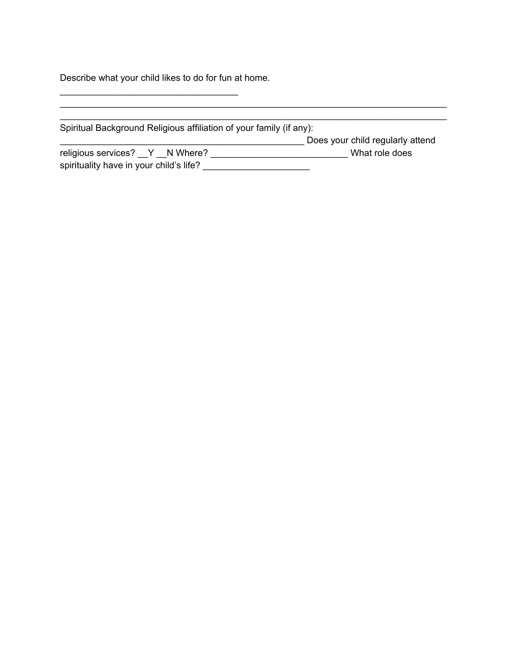Describe what your child likes to do for fun at home.

 $\overline{\phantom{a}}$  ,  $\overline{\phantom{a}}$  ,  $\overline{\phantom{a}}$  ,  $\overline{\phantom{a}}$  ,  $\overline{\phantom{a}}$  ,  $\overline{\phantom{a}}$  ,  $\overline{\phantom{a}}$  ,  $\overline{\phantom{a}}$  ,  $\overline{\phantom{a}}$  ,  $\overline{\phantom{a}}$  ,  $\overline{\phantom{a}}$  ,  $\overline{\phantom{a}}$  ,  $\overline{\phantom{a}}$  ,  $\overline{\phantom{a}}$  ,  $\overline{\phantom{a}}$  ,  $\overline{\phantom{a}}$ 

| Spiritual Background Religious affiliation of your family (if any): |                                  |
|---------------------------------------------------------------------|----------------------------------|
|                                                                     | Does your child regularly attend |
| religious services? Y N Where?                                      | What role does                   |
| spirituality have in your child's life?                             |                                  |

\_\_\_\_\_\_\_\_\_\_\_\_\_\_\_\_\_\_\_\_\_\_\_\_\_\_\_\_\_\_\_\_\_\_\_\_\_\_\_\_\_\_\_\_\_\_\_\_\_\_\_\_\_\_\_\_\_\_\_\_\_\_\_\_\_\_\_\_\_\_\_\_\_\_\_\_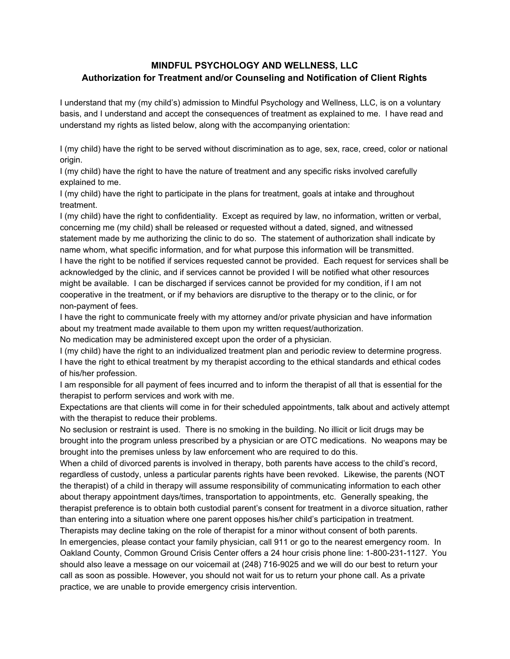## **MINDFUL PSYCHOLOGY AND WELLNESS, LLC Authorization for Treatment and/or Counseling and Notification of Client Rights**

I understand that my (my child's) admission to Mindful Psychology and Wellness, LLC, is on a voluntary basis, and I understand and accept the consequences of treatment as explained to me. I have read and understand my rights as listed below, along with the accompanying orientation:

I (my child) have the right to be served without discrimination as to age, sex, race, creed, color or national origin.

I (my child) have the right to have the nature of treatment and any specific risks involved carefully explained to me.

I (my child) have the right to participate in the plans for treatment, goals at intake and throughout treatment.

I (my child) have the right to confidentiality. Except as required by law, no information, written or verbal, concerning me (my child) shall be released or requested without a dated, signed, and witnessed statement made by me authorizing the clinic to do so. The statement of authorization shall indicate by name whom, what specific information, and for what purpose this information will be transmitted. I have the right to be notified if services requested cannot be provided. Each request for services shall be acknowledged by the clinic, and if services cannot be provided I will be notified what other resources might be available. I can be discharged if services cannot be provided for my condition, if I am not cooperative in the treatment, or if my behaviors are disruptive to the therapy or to the clinic, or for non-payment of fees.

I have the right to communicate freely with my attorney and/or private physician and have information about my treatment made available to them upon my written request/authorization.

No medication may be administered except upon the order of a physician.

I (my child) have the right to an individualized treatment plan and periodic review to determine progress. I have the right to ethical treatment by my therapist according to the ethical standards and ethical codes of his/her profession.

I am responsible for all payment of fees incurred and to inform the therapist of all that is essential for the therapist to perform services and work with me.

Expectations are that clients will come in for their scheduled appointments, talk about and actively attempt with the therapist to reduce their problems.

No seclusion or restraint is used. There is no smoking in the building. No illicit or licit drugs may be brought into the program unless prescribed by a physician or are OTC medications. No weapons may be brought into the premises unless by law enforcement who are required to do this.

When a child of divorced parents is involved in therapy, both parents have access to the child's record, regardless of custody, unless a particular parents rights have been revoked. Likewise, the parents (NOT the therapist) of a child in therapy will assume responsibility of communicating information to each other about therapy appointment days/times, transportation to appointments, etc. Generally speaking, the therapist preference is to obtain both custodial parent's consent for treatment in a divorce situation, rather than entering into a situation where one parent opposes his/her child's participation in treatment.

Therapists may decline taking on the role of therapist for a minor without consent of both parents. In emergencies, please contact your family physician, call 911 or go to the nearest emergency room. In Oakland County, Common Ground Crisis Center offers a 24 hour crisis phone line: 1-800-231-1127. You should also leave a message on our voicemail at (248) 716-9025 and we will do our best to return your call as soon as possible. However, you should not wait for us to return your phone call. As a private practice, we are unable to provide emergency crisis intervention.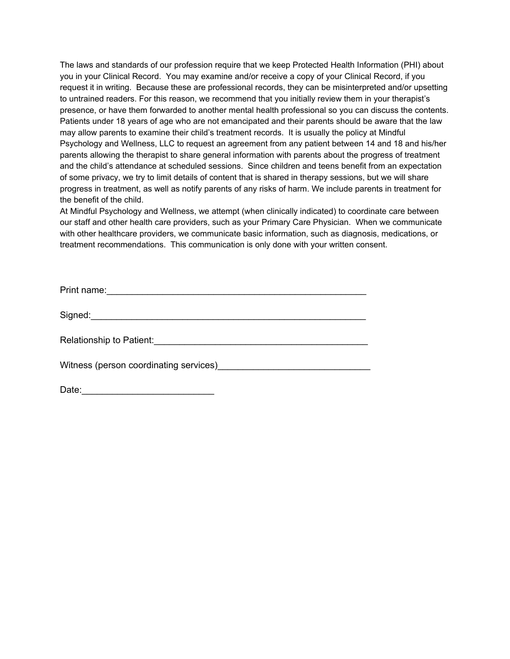The laws and standards of our profession require that we keep Protected Health Information (PHI) about you in your Clinical Record. You may examine and/or receive a copy of your Clinical Record, if you request it in writing. Because these are professional records, they can be misinterpreted and/or upsetting to untrained readers. For this reason, we recommend that you initially review them in your therapist's presence, or have them forwarded to another mental health professional so you can discuss the contents. Patients under 18 years of age who are not emancipated and their parents should be aware that the law may allow parents to examine their child's treatment records. It is usually the policy at Mindful Psychology and Wellness, LLC to request an agreement from any patient between 14 and 18 and his/her parents allowing the therapist to share general information with parents about the progress of treatment and the child's attendance at scheduled sessions. Since children and teens benefit from an expectation of some privacy, we try to limit details of content that is shared in therapy sessions, but we will share progress in treatment, as well as notify parents of any risks of harm. We include parents in treatment for the benefit of the child.

At Mindful Psychology and Wellness, we attempt (when clinically indicated) to coordinate care between our staff and other health care providers, such as your Primary Care Physician. When we communicate with other healthcare providers, we communicate basic information, such as diagnosis, medications, or treatment recommendations. This communication is only done with your written consent.

| Relationship to Patient:<br>Express the contract of the contract of the contract of the contract of the contract of the contract of the contract of the contract of the contract of the contract of the contract of the contract |
|----------------------------------------------------------------------------------------------------------------------------------------------------------------------------------------------------------------------------------|
| Witness (person coordinating services) Microsoft Contract Contract Contract Contract Contract Contract Contract Contract Contract Contract Contract Contract Contract Contract Contract Contract Contract Contract Contract Co   |
| Date:                                                                                                                                                                                                                            |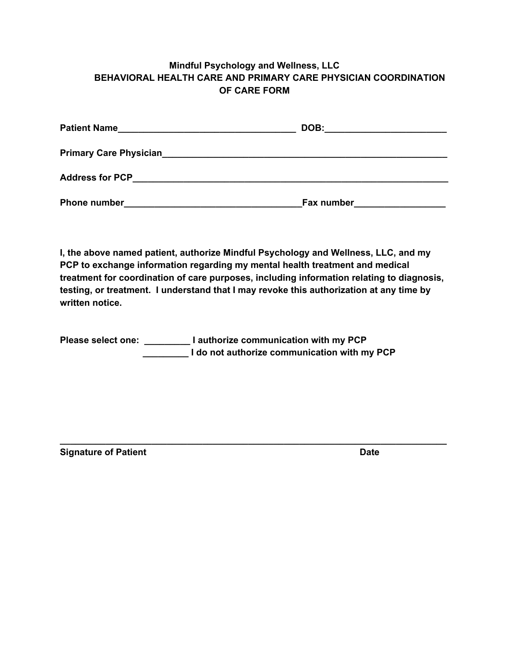## **Mindful Psychology and Wellness, LLC BEHAVIORAL HEALTH CARE AND PRIMARY CARE PHYSICIAN COORDINATION OF CARE FORM**

| <b>Patient Name</b>           | DOB:       |
|-------------------------------|------------|
| <b>Primary Care Physician</b> |            |
| <b>Address for PCP</b>        |            |
| <b>Phone number</b>           | Fax number |

**I, the above named patient, authorize Mindful Psychology and Wellness, LLC, and my PCP to exchange information regarding my mental health treatment and medical treatment for coordination of care purposes, including information relating to diagnosis, testing, or treatment. I understand that I may revoke this authorization at any time by written notice.**

**\_\_\_\_\_\_\_\_\_\_\_\_\_\_\_\_\_\_\_\_\_\_\_\_\_\_\_\_\_\_\_\_\_\_\_\_\_\_\_\_\_\_\_\_\_\_\_\_\_\_\_\_\_\_\_\_\_\_\_\_\_\_\_\_\_\_\_\_\_\_\_\_\_\_\_\_**

**Please select one: \_\_\_\_\_\_\_\_\_ I authorize communication with my PCP \_\_\_\_\_\_\_\_\_ I do not authorize communication with my PCP**

**Signature of Patient Date**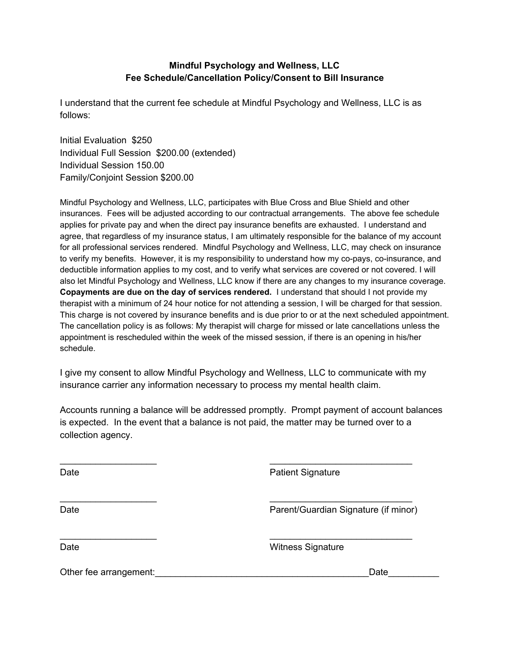## **Mindful Psychology and Wellness, LLC Fee Schedule/Cancellation Policy/Consent to Bill Insurance**

I understand that the current fee schedule at Mindful Psychology and Wellness, LLC is as follows:

Initial Evaluation \$250 Individual Full Session \$200.00 (extended) Individual Session 150.00 Family/Conjoint Session \$200.00

Mindful Psychology and Wellness, LLC, participates with Blue Cross and Blue Shield and other insurances. Fees will be adjusted according to our contractual arrangements. The above fee schedule applies for private pay and when the direct pay insurance benefits are exhausted. I understand and agree, that regardless of my insurance status, I am ultimately responsible for the balance of my account for all professional services rendered. Mindful Psychology and Wellness, LLC, may check on insurance to verify my benefits. However, it is my responsibility to understand how my co-pays, co-insurance, and deductible information applies to my cost, and to verify what services are covered or not covered. I will also let Mindful Psychology and Wellness, LLC know if there are any changes to my insurance coverage. **Copayments are due on the day of services rendered.** I understand that should I not provide my therapist with a minimum of 24 hour notice for not attending a session, I will be charged for that session. This charge is not covered by insurance benefits and is due prior to or at the next scheduled appointment. The cancellation policy is as follows: My therapist will charge for missed or late cancellations unless the appointment is rescheduled within the week of the missed session, if there is an opening in his/her schedule.

I give my consent to allow Mindful Psychology and Wellness, LLC to communicate with my insurance carrier any information necessary to process my mental health claim.

Accounts running a balance will be addressed promptly. Prompt payment of account balances is expected. In the event that a balance is not paid, the matter may be turned over to a collection agency.

 $\overline{\phantom{a}}$  , and the contract of the contract of the contract of the contract of the contract of the contract of the contract of the contract of the contract of the contract of the contract of the contract of the contrac

 $\overline{\phantom{a}}$  , and the contract of the contract of the contract of the contract of the contract of the contract of the contract of the contract of the contract of the contract of the contract of the contract of the contrac

Date **Date Patient Signature** 

Date **Parent/Guardian Signature (if minor)** Parent/Guardian Signature (if minor)

 $\overline{\phantom{a}}$  , and the contract of the contract of the contract of the contract of the contract of the contract of the contract of the contract of the contract of the contract of the contract of the contract of the contrac

Date **Date** Witness Signature

Other fee arrangement:  $\Box$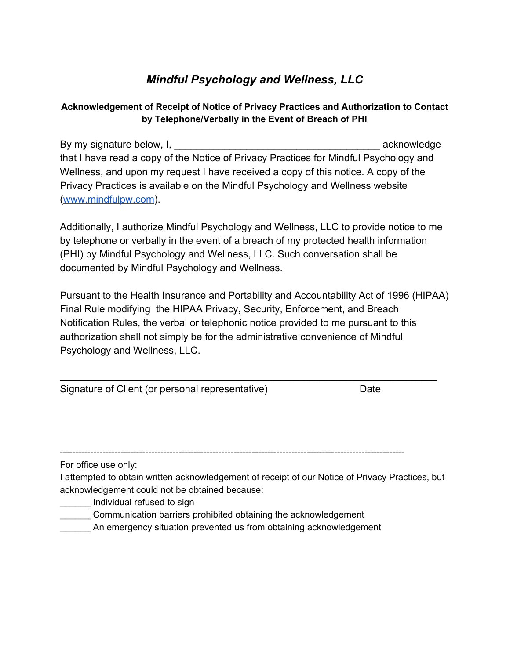# *Mindful Psychology and Wellness, LLC*

## **Acknowledgement of Receipt of Notice of Privacy Practices and Authorization to Contact by Telephone/Verbally in the Event of Breach of PHI**

By my signature below, I, the state of the state of the state of the state of the state of the state of the state of the state of the state of the state of the state of the state of the state of the state of the state of t that I have read a copy of the Notice of Privacy Practices for Mindful Psychology and Wellness, and upon my request I have received a copy of this notice. A copy of the Privacy Practices is available on the Mindful Psychology and Wellness website ([www.mindfulpw.com](http://www.mindfulpw.com/)).

Additionally, I authorize Mindful Psychology and Wellness, LLC to provide notice to me by telephone or verbally in the event of a breach of my protected health information (PHI) by Mindful Psychology and Wellness, LLC. Such conversation shall be documented by Mindful Psychology and Wellness.

Pursuant to the Health Insurance and Portability and Accountability Act of 1996 (HIPAA) Final Rule modifying the HIPAA Privacy, Security, Enforcement, and Breach Notification Rules, the verbal or telephonic notice provided to me pursuant to this authorization shall not simply be for the administrative convenience of Mindful Psychology and Wellness, LLC.

\_\_\_\_\_\_\_\_\_\_\_\_\_\_\_\_\_\_\_\_\_\_\_\_\_\_\_\_\_\_\_\_\_\_\_\_\_\_\_\_\_\_\_\_\_\_\_\_\_\_\_\_\_\_\_\_\_\_\_\_\_\_\_\_\_\_\_\_\_\_\_\_\_\_

Signature of Client (or personal representative) Date

-----------------------------------------------------------------------------------------------------------------

For office use only:

I attempted to obtain written acknowledgement of receipt of our Notice of Privacy Practices, but acknowledgement could not be obtained because:

- \_\_\_\_\_\_ Individual refused to sign
- \_\_\_\_\_\_ Communication barriers prohibited obtaining the acknowledgement
- An emergency situation prevented us from obtaining acknowledgement